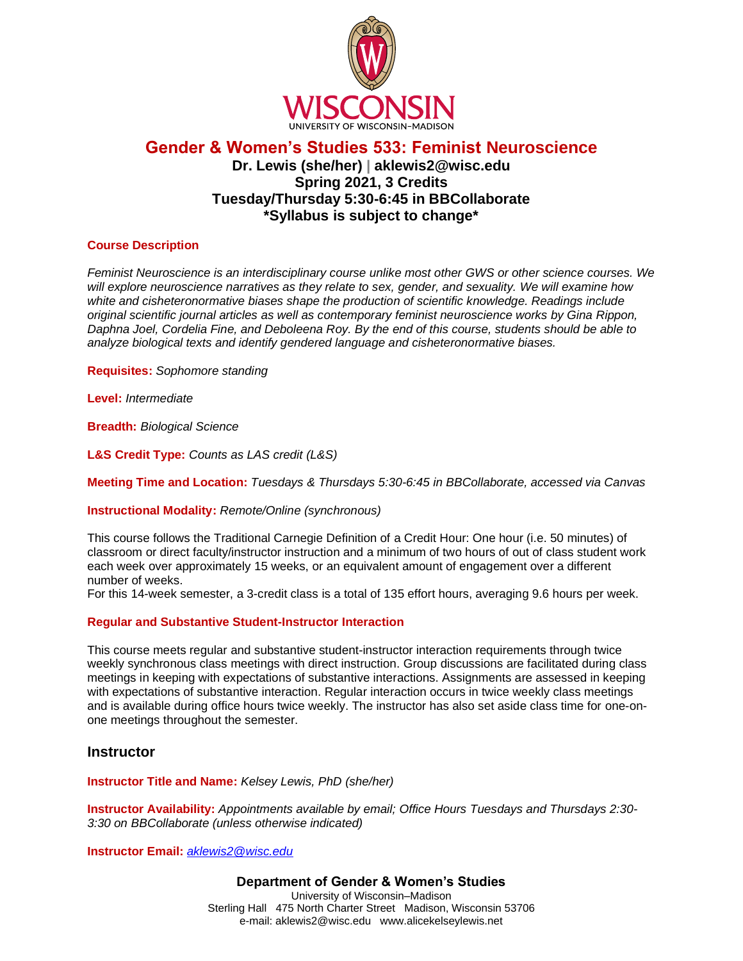

# **Gender & Women's Studies 533: Feminist Neuroscience Dr. Lewis (she/her) | aklewis2@wisc.edu Spring 2021, 3 Credits Tuesday/Thursday 5:30-6:45 in BBCollaborate \*Syllabus is subject to change\***

#### **Course Description**

*Feminist Neuroscience is an interdisciplinary course unlike most other GWS or other science courses. We will explore neuroscience narratives as they relate to sex, gender, and sexuality. We will examine how white and cisheteronormative biases shape the production of scientific knowledge. Readings include original scientific journal articles as well as contemporary feminist neuroscience works by Gina Rippon, Daphna Joel, Cordelia Fine, and Deboleena Roy. By the end of this course, students should be able to analyze biological texts and identify gendered language and cisheteronormative biases.*

**Requisites:** *Sophomore standing* 

**Level:** *Intermediate*

**Breadth:** *Biological Science*

**L&S Credit Type:** *Counts as LAS credit (L&S)*

**Meeting Time and Location:** *Tuesdays & Thursdays 5:30-6:45 in BBCollaborate, accessed via Canvas*

**Instructional Modality:** *Remote/Online (synchronous)*

This course follows the Traditional Carnegie Definition of a Credit Hour: One hour (i.e. 50 minutes) of classroom or direct faculty/instructor instruction and a minimum of two hours of out of class student work each week over approximately 15 weeks, or an equivalent amount of engagement over a different number of weeks.

For this 14-week semester, a 3-credit class is a total of 135 effort hours, averaging 9.6 hours per week.

#### **Regular and Substantive Student-Instructor Interaction**

This course meets regular and substantive student-instructor interaction requirements through twice weekly synchronous class meetings with direct instruction. Group discussions are facilitated during class meetings in keeping with expectations of substantive interactions. Assignments are assessed in keeping with expectations of substantive interaction. Regular interaction occurs in twice weekly class meetings and is available during office hours twice weekly. The instructor has also set aside class time for one-onone meetings throughout the semester.

#### **Instructor**

**Instructor Title and Name:** *Kelsey Lewis, PhD (she/her)*

**Instructor Availability:** *Appointments available by email; Office Hours Tuesdays and Thursdays 2:30- 3:30 on BBCollaborate (unless otherwise indicated)*

**Instructor Email:** *[aklewis2@wisc.edu](mailto:aklewis2@wisc.edu)*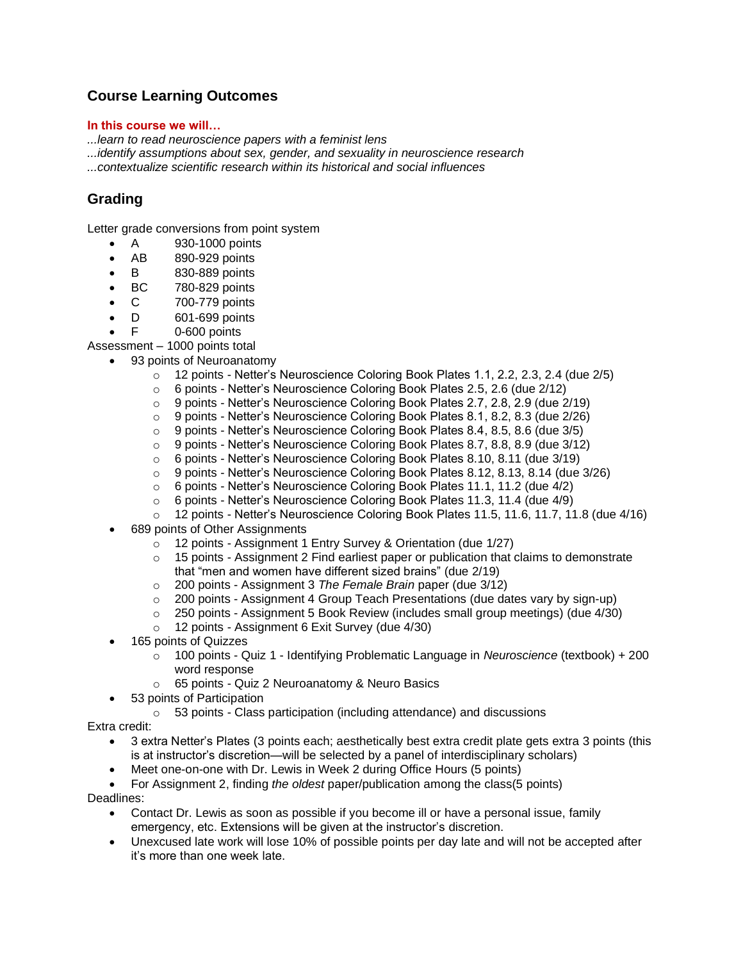# **Course Learning Outcomes**

#### **In this course we will…**

*...learn to read neuroscience papers with a feminist lens* 

*...identify assumptions about sex, gender, and sexuality in neuroscience research* 

*...contextualize scientific research within its historical and social influences*

# **Grading**

Letter grade conversions from point system

- A 930-1000 points
- AB 890-929 points
- B 830-889 points
- BC 780-829 points
- C 700-779 points
- D 601-699 points
- F 0-600 points

Assessment – 1000 points total

- 93 points of Neuroanatomy
	- $\circ$  12 points Netter's Neuroscience Coloring Book Plates 1.1, 2.2, 2.3, 2.4 (due  $2/5$ )
	- o 6 points Netter's Neuroscience Coloring Book Plates 2.5, 2.6 (due 2/12)
	- o 9 points Netter's Neuroscience Coloring Book Plates 2.7, 2.8, 2.9 (due 2/19)
	- $\circ$  9 points Netter's Neuroscience Coloring Book Plates 8.1, 8.2, 8.3 (due  $2/26$ )
	- $\circ$  9 points Netter's Neuroscience Coloring Book Plates 8.4, 8.5, 8.6 (due 3/5)
	- $\circ$  9 points Netter's Neuroscience Coloring Book Plates 8.7, 8.8, 8.9 (due 3/12)
	- $\circ$  6 points Netter's Neuroscience Coloring Book Plates 8.10, 8.11 (due 3/19)
	- o 9 points Netter's Neuroscience Coloring Book Plates 8.12, 8.13, 8.14 (due 3/26)
	- o 6 points Netter's Neuroscience Coloring Book Plates 11.1, 11.2 (due 4/2)
	- o 6 points Netter's Neuroscience Coloring Book Plates 11.3, 11.4 (due 4/9)
	- o 12 points Netter's Neuroscience Coloring Book Plates 11.5, 11.6, 11.7, 11.8 (due 4/16)
- 689 points of Other Assignments
	- o 12 points Assignment 1 Entry Survey & Orientation (due 1/27)
	- $\circ$  15 points Assignment 2 Find earliest paper or publication that claims to demonstrate that "men and women have different sized brains" (due 2/19)
	- o 200 points Assignment 3 *The Female Brain* paper (due 3/12)
	- $\circ$  200 points Assignment 4 Group Teach Presentations (due dates vary by sign-up)
	- o 250 points Assignment 5 Book Review (includes small group meetings) (due 4/30)
	- o 12 points Assignment 6 Exit Survey (due 4/30)
- 165 points of Quizzes
	- o 100 points Quiz 1 Identifying Problematic Language in *Neuroscience* (textbook) + 200 word response
	- o 65 points Quiz 2 Neuroanatomy & Neuro Basics
- 53 points of Participation
	- o 53 points Class participation (including attendance) and discussions

#### Extra credit:

- 3 extra Netter's Plates (3 points each; aesthetically best extra credit plate gets extra 3 points (this is at instructor's discretion—will be selected by a panel of interdisciplinary scholars)
- Meet one-on-one with Dr. Lewis in Week 2 during Office Hours (5 points)
- For Assignment 2, finding *the oldest* paper/publication among the class(5 points)

Deadlines:

- Contact Dr. Lewis as soon as possible if you become ill or have a personal issue, family emergency, etc. Extensions will be given at the instructor's discretion.
- Unexcused late work will lose 10% of possible points per day late and will not be accepted after it's more than one week late.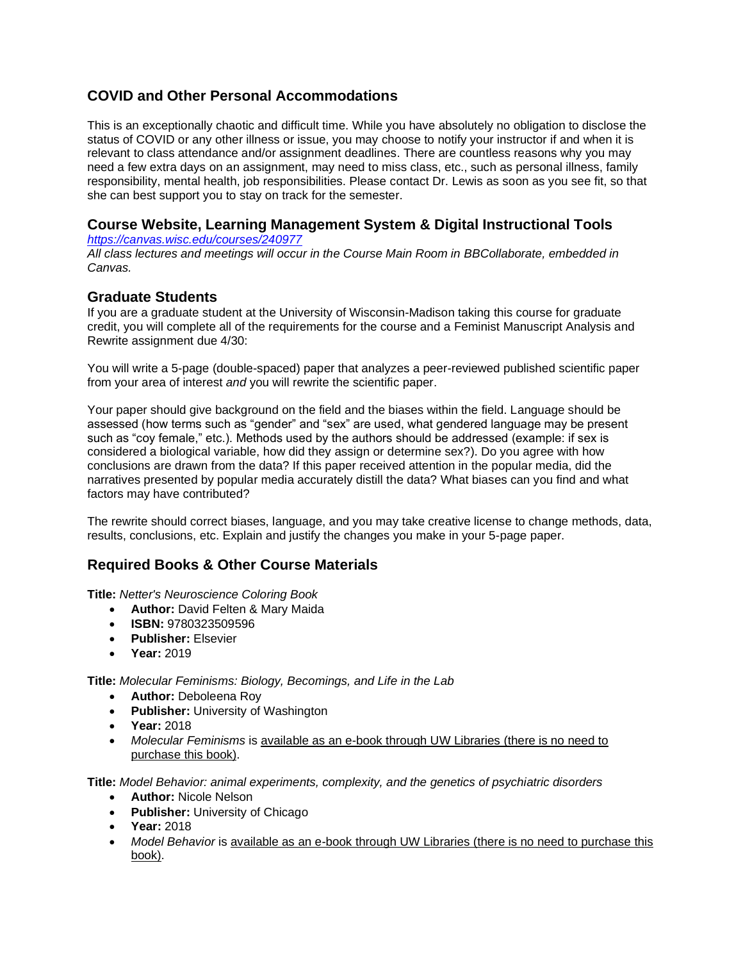# **COVID and Other Personal Accommodations**

This is an exceptionally chaotic and difficult time. While you have absolutely no obligation to disclose the status of COVID or any other illness or issue, you may choose to notify your instructor if and when it is relevant to class attendance and/or assignment deadlines. There are countless reasons why you may need a few extra days on an assignment, may need to miss class, etc., such as personal illness, family responsibility, mental health, job responsibilities. Please contact Dr. Lewis as soon as you see fit, so that she can best support you to stay on track for the semester.

# **Course Website, Learning Management System & Digital Instructional Tools**

*<https://canvas.wisc.edu/courses/240977>*

*All class lectures and meetings will occur in the Course Main Room in BBCollaborate, embedded in Canvas.* 

# **Graduate Students**

If you are a graduate student at the University of Wisconsin-Madison taking this course for graduate credit, you will complete all of the requirements for the course and a Feminist Manuscript Analysis and Rewrite assignment due 4/30:

You will write a 5-page (double-spaced) paper that analyzes a peer-reviewed published scientific paper from your area of interest *and* you will rewrite the scientific paper.

Your paper should give background on the field and the biases within the field. Language should be assessed (how terms such as "gender" and "sex" are used, what gendered language may be present such as "coy female," etc.). Methods used by the authors should be addressed (example: if sex is considered a biological variable, how did they assign or determine sex?). Do you agree with how conclusions are drawn from the data? If this paper received attention in the popular media, did the narratives presented by popular media accurately distill the data? What biases can you find and what factors may have contributed?

The rewrite should correct biases, language, and you may take creative license to change methods, data, results, conclusions, etc. Explain and justify the changes you make in your 5-page paper.

# **Required Books & Other Course Materials**

**Title:** *Netter's Neuroscience Coloring Book*

- **Author:** David Felten & Mary Maida
- **ISBN:** 9780323509596
- **Publisher:** Elsevier
- **Year:** 2019

**Title:** *Molecular Feminisms: Biology, Becomings, and Life in the Lab*

- **Author:** Deboleena Roy
- **Publisher:** University of Washington
- **Year:** 2018
- *Molecular Feminisms* is available as an e-book through UW Libraries (there is no need to purchase this book).

**Title:** *Model Behavior: animal experiments, complexity, and the genetics of psychiatric disorders*

- **Author:** Nicole Nelson
- **Publisher:** University of Chicago
- **Year:** 2018
- *Model Behavior* is available as an e-book through UW Libraries (there is no need to purchase this book).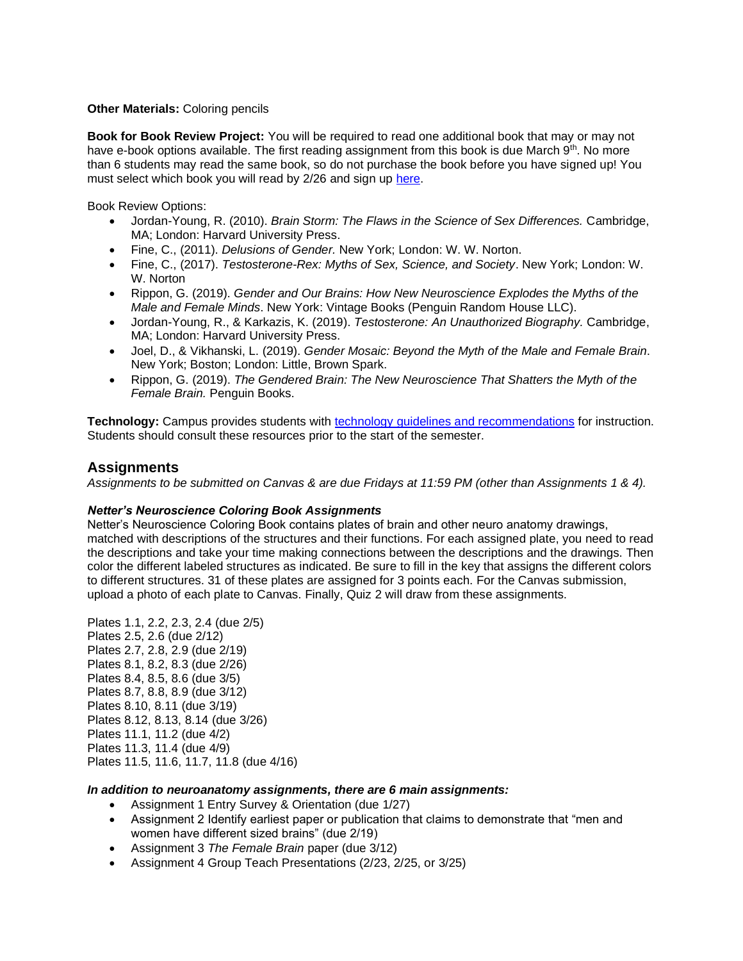#### **Other Materials: Coloring pencils**

**Book for Book Review Project:** You will be required to read one additional book that may or may not have e-book options available. The first reading assignment from this book is due March 9<sup>th</sup>. No more than 6 students may read the same book, so do not purchase the book before you have signed up! You must select which book you will read by 2/26 and sign up [here.](https://docs.google.com/spreadsheets/d/1xl_4EbRbEca_rH5-O_3Xfl0elYZ5cpIBnsBp7w9u0P0/edit?usp=sharing)

Book Review Options:

- Jordan-Young, R. (2010). *Brain Storm: The Flaws in the Science of Sex Differences.* Cambridge, MA; London: Harvard University Press.
- Fine, C., (2011). *Delusions of Gender.* New York; London: W. W. Norton.
- Fine, C., (2017). *Testosterone-Rex: Myths of Sex, Science, and Society*. New York; London: W. W. Norton
- Rippon, G. (2019). *Gender and Our Brains: How New Neuroscience Explodes the Myths of the Male and Female Minds*. New York: Vintage Books (Penguin Random House LLC).
- Jordan-Young, R., & Karkazis, K. (2019). *Testosterone: An Unauthorized Biography.* Cambridge, MA; London: Harvard University Press.
- Joel, D., & Vikhanski, L. (2019). *Gender Mosaic: Beyond the Myth of the Male and Female Brain*. New York; Boston; London: Little, Brown Spark.
- Rippon, G. (2019). *The Gendered Brain: The New Neuroscience That Shatters the Myth of the Female Brain.* Penguin Books.

Technology: Campus provides students with **technology quidelines and recommendations** for instruction. Students should consult these resources prior to the start of the semester.

# **Assignments**

*Assignments to be submitted on Canvas & are due Fridays at 11:59 PM (other than Assignments 1 & 4).*

#### *Netter's Neuroscience Coloring Book Assignments*

Netter's Neuroscience Coloring Book contains plates of brain and other neuro anatomy drawings, matched with descriptions of the structures and their functions. For each assigned plate, you need to read the descriptions and take your time making connections between the descriptions and the drawings. Then color the different labeled structures as indicated. Be sure to fill in the key that assigns the different colors to different structures. 31 of these plates are assigned for 3 points each. For the Canvas submission, upload a photo of each plate to Canvas. Finally, Quiz 2 will draw from these assignments.

Plates 1.1, 2.2, 2.3, 2.4 (due 2/5) Plates 2.5, 2.6 (due 2/12) Plates 2.7, 2.8, 2.9 (due 2/19) Plates 8.1, 8.2, 8.3 (due 2/26) Plates 8.4, 8.5, 8.6 (due 3/5) Plates 8.7, 8.8, 8.9 (due 3/12) Plates 8.10, 8.11 (due 3/19) Plates 8.12, 8.13, 8.14 (due 3/26) Plates 11.1, 11.2 (due 4/2) Plates 11.3, 11.4 (due 4/9) Plates 11.5, 11.6, 11.7, 11.8 (due 4/16)

#### *In addition to neuroanatomy assignments, there are 6 main assignments:*

- Assignment 1 Entry Survey & Orientation (due 1/27)
- Assignment 2 Identify earliest paper or publication that claims to demonstrate that "men and women have different sized brains" (due 2/19)
- Assignment 3 *The Female Brain* paper (due 3/12)
- Assignment 4 Group Teach Presentations (2/23, 2/25, or 3/25)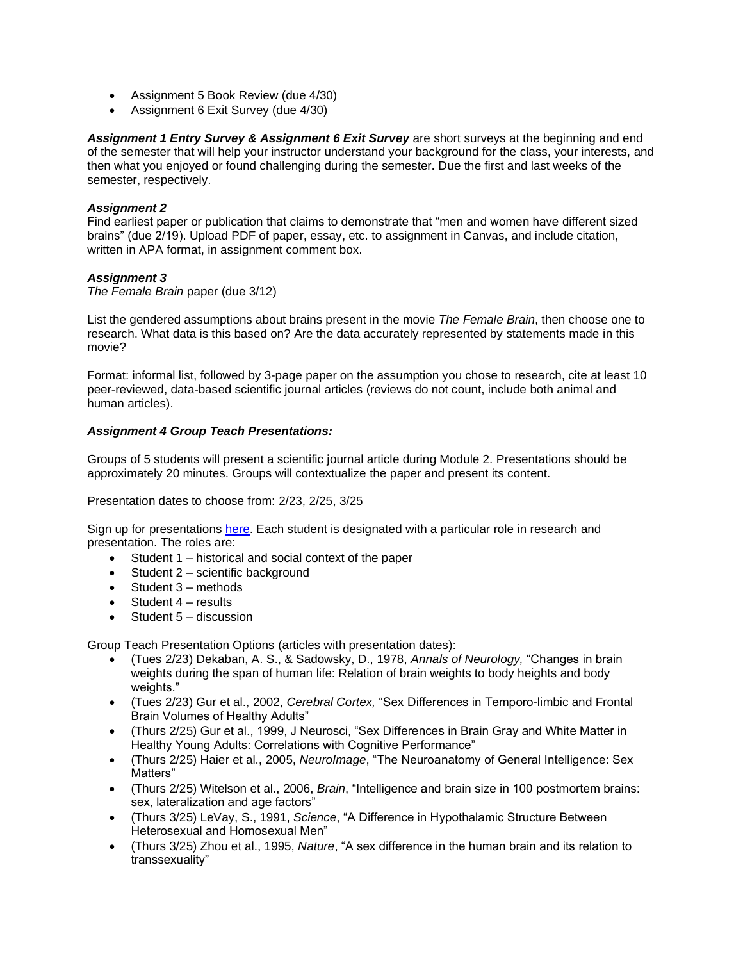- Assignment 5 Book Review (due 4/30)
- Assignment 6 Exit Survey (due 4/30)

*Assignment 1 Entry Survey & Assignment 6 Exit Survey* are short surveys at the beginning and end of the semester that will help your instructor understand your background for the class, your interests, and then what you enjoyed or found challenging during the semester. Due the first and last weeks of the semester, respectively.

#### *Assignment 2*

Find earliest paper or publication that claims to demonstrate that "men and women have different sized brains" (due 2/19). Upload PDF of paper, essay, etc. to assignment in Canvas, and include citation, written in APA format, in assignment comment box.

#### *Assignment 3*

*The Female Brain* paper (due 3/12)

List the gendered assumptions about brains present in the movie *The Female Brain*, then choose one to research. What data is this based on? Are the data accurately represented by statements made in this movie?

Format: informal list, followed by 3-page paper on the assumption you chose to research, cite at least 10 peer-reviewed, data-based scientific journal articles (reviews do not count, include both animal and human articles).

#### *Assignment 4 Group Teach Presentations:*

Groups of 5 students will present a scientific journal article during Module 2. Presentations should be approximately 20 minutes. Groups will contextualize the paper and present its content.

Presentation dates to choose from: 2/23, 2/25, 3/25

Sign up for presentations [here.](https://docs.google.com/spreadsheets/d/1zfG6tQNf2noUXc0_ta8ahyROLzR0X_HOCddBsONqi00/edit?usp=sharing) Each student is designated with a particular role in research and presentation. The roles are:

- Student 1 historical and social context of the paper
- Student 2 scientific background
- Student 3 methods
- Student 4 results
- Student 5 discussion

Group Teach Presentation Options (articles with presentation dates):

- (Tues 2/23) Dekaban, A. S., & Sadowsky, D., 1978, *Annals of Neurology,* "Changes in brain weights during the span of human life: Relation of brain weights to body heights and body weights."
- (Tues 2/23) Gur et al., 2002, *Cerebral Cortex,* "Sex Differences in Temporo-limbic and Frontal Brain Volumes of Healthy Adults"
- (Thurs 2/25) Gur et al., 1999, J Neurosci, "Sex Differences in Brain Gray and White Matter in Healthy Young Adults: Correlations with Cognitive Performance"
- (Thurs 2/25) Haier et al., 2005, *NeuroImage*, "The Neuroanatomy of General Intelligence: Sex Matters"
- (Thurs 2/25) Witelson et al., 2006, *Brain*, "Intelligence and brain size in 100 postmortem brains: sex, lateralization and age factors"
- (Thurs 3/25) LeVay, S., 1991, *Science*, "A Difference in Hypothalamic Structure Between Heterosexual and Homosexual Men"
- (Thurs 3/25) Zhou et al., 1995, *Nature*, "A sex difference in the human brain and its relation to transsexuality"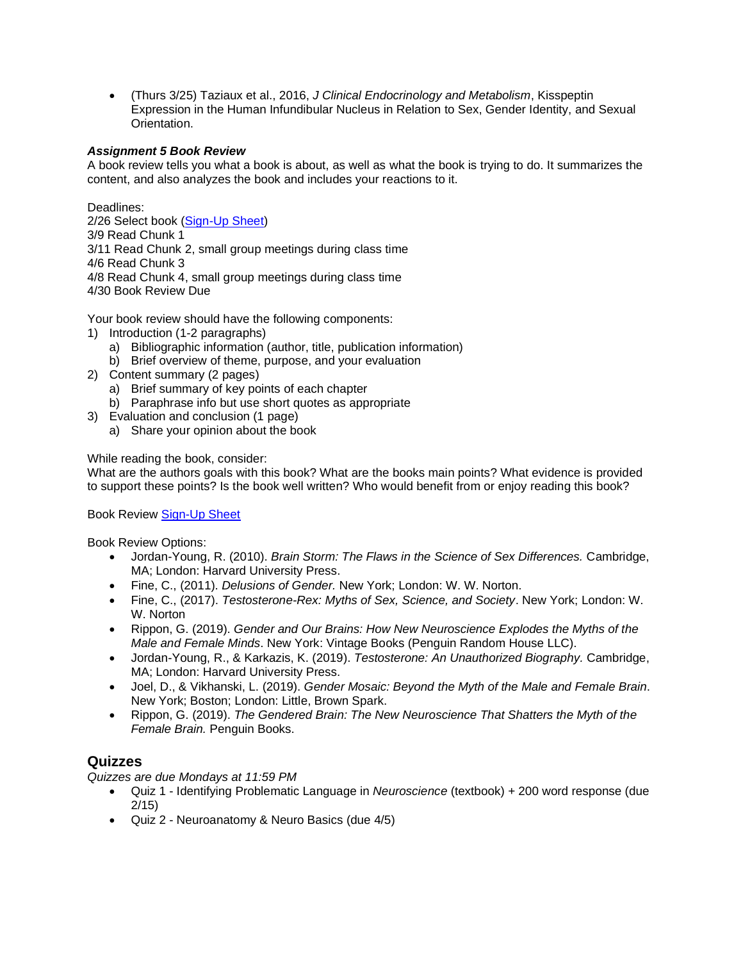• (Thurs 3/25) Taziaux et al., 2016, *J Clinical Endocrinology and Metabolism*, Kisspeptin Expression in the Human Infundibular Nucleus in Relation to Sex, Gender Identity, and Sexual **Orientation** 

#### *Assignment 5 Book Review*

A book review tells you what a book is about, as well as what the book is trying to do. It summarizes the content, and also analyzes the book and includes your reactions to it.

Deadlines:

2/26 Select book [\(Sign-Up Sheet\)](https://docs.google.com/spreadsheets/d/1xl_4EbRbEca_rH5-O_3Xfl0elYZ5cpIBnsBp7w9u0P0/edit?usp=sharing) 3/9 Read Chunk 1 3/11 Read Chunk 2, small group meetings during class time 4/6 Read Chunk 3 4/8 Read Chunk 4, small group meetings during class time 4/30 Book Review Due

Your book review should have the following components:

- 1) Introduction (1-2 paragraphs)
	- a) Bibliographic information (author, title, publication information)
	- b) Brief overview of theme, purpose, and your evaluation
- 2) Content summary (2 pages)
	- a) Brief summary of key points of each chapter
	- b) Paraphrase info but use short quotes as appropriate
- 3) Evaluation and conclusion (1 page)
	- a) Share your opinion about the book

#### While reading the book, consider:

What are the authors goals with this book? What are the books main points? What evidence is provided to support these points? Is the book well written? Who would benefit from or enjoy reading this book?

Book Review [Sign-Up Sheet](https://docs.google.com/spreadsheets/d/1xl_4EbRbEca_rH5-O_3Xfl0elYZ5cpIBnsBp7w9u0P0/edit?usp=sharing)

Book Review Options:

- Jordan-Young, R. (2010). *Brain Storm: The Flaws in the Science of Sex Differences.* Cambridge, MA; London: Harvard University Press.
- Fine, C., (2011). *Delusions of Gender.* New York; London: W. W. Norton.
- Fine, C., (2017). *Testosterone-Rex: Myths of Sex, Science, and Society*. New York; London: W. W. Norton
- Rippon, G. (2019). *Gender and Our Brains: How New Neuroscience Explodes the Myths of the Male and Female Minds*. New York: Vintage Books (Penguin Random House LLC).
- Jordan-Young, R., & Karkazis, K. (2019). *Testosterone: An Unauthorized Biography.* Cambridge, MA; London: Harvard University Press.
- Joel, D., & Vikhanski, L. (2019). *Gender Mosaic: Beyond the Myth of the Male and Female Brain*. New York; Boston; London: Little, Brown Spark.
- Rippon, G. (2019). *The Gendered Brain: The New Neuroscience That Shatters the Myth of the Female Brain.* Penguin Books.

#### **Quizzes**

*Quizzes are due Mondays at 11:59 PM*

- Quiz 1 Identifying Problematic Language in *Neuroscience* (textbook) + 200 word response (due 2/15)
- Quiz 2 Neuroanatomy & Neuro Basics (due 4/5)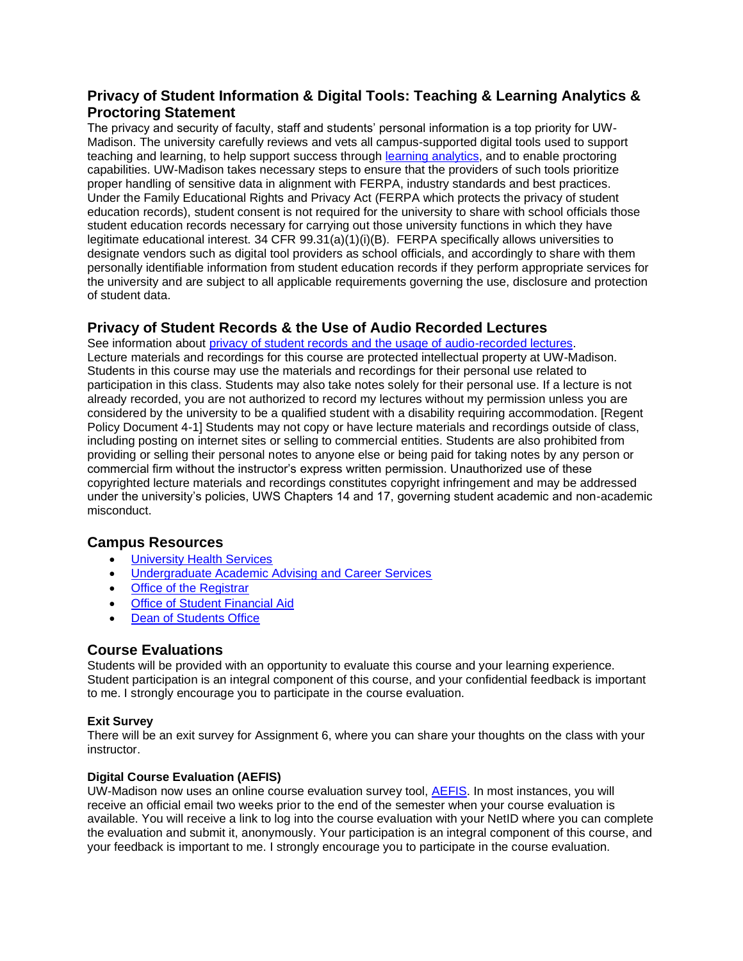# **Privacy of Student Information & Digital Tools: Teaching & Learning Analytics & Proctoring Statement**

The privacy and security of faculty, staff and students' personal information is a top priority for UW-Madison. The university carefully reviews and vets all campus-supported digital tools used to support teaching and learning, to help support success through [learning analytics,](https://teachlearn.provost.wisc.edu/learning-analytics/) and to enable proctoring capabilities. UW-Madison takes necessary steps to ensure that the providers of such tools prioritize proper handling of sensitive data in alignment with FERPA, industry standards and best practices. Under the Family Educational Rights and Privacy Act (FERPA which protects the privacy of student education records), student consent is not required for the university to share with school officials those student education records necessary for carrying out those university functions in which they have legitimate educational interest. 34 CFR 99.31(a)(1)(i)(B). FERPA specifically allows universities to designate vendors such as digital tool providers as school officials, and accordingly to share with them personally identifiable information from student education records if they perform appropriate services for the university and are subject to all applicable requirements governing the use, disclosure and protection of student data.

# **Privacy of Student Records & the Use of Audio Recorded Lectures**

See information about [privacy of student records and the usage of audio-recorded lectures.](https://instructionalcontinuity.wisc.edu/2020/04/03/privacy-of-student-records-and-the-usage-of-audio-recorded-lectures/) Lecture materials and recordings for this course are protected intellectual property at UW-Madison. Students in this course may use the materials and recordings for their personal use related to participation in this class. Students may also take notes solely for their personal use. If a lecture is not already recorded, you are not authorized to record my lectures without my permission unless you are considered by the university to be a qualified student with a disability requiring accommodation. [Regent Policy Document 4-1] Students may not copy or have lecture materials and recordings outside of class, including posting on internet sites or selling to commercial entities. Students are also prohibited from providing or selling their personal notes to anyone else or being paid for taking notes by any person or commercial firm without the instructor's express written permission. Unauthorized use of these copyrighted lecture materials and recordings constitutes copyright infringement and may be addressed under the university's policies, UWS Chapters 14 and 17, governing student academic and non-academic misconduct.

# **Campus Resources**

- [University Health Services](https://www.uhs.wisc.edu/)
- [Undergraduate Academic Advising and Career Services](https://advising.wisc.edu/)
- [Office of the Registrar](https://registrar.wisc.edu/)
- [Office of Student Financial Aid](https://financialaid.wisc.edu/)
- [Dean of Students Office](https://doso.students.wisc.edu/)

# **Course Evaluations**

Students will be provided with an opportunity to evaluate this course and your learning experience. Student participation is an integral component of this course, and your confidential feedback is important to me. I strongly encourage you to participate in the course evaluation.

#### **Exit Survey**

There will be an exit survey for Assignment 6, where you can share your thoughts on the class with your instructor.

#### **Digital Course Evaluation (AEFIS)**

UW-Madison now uses an online course evaluation survey tool, [AEFIS.](https://kb.wisc.edu/luwmad/page.php?id=81069) In most instances, you will receive an official email two weeks prior to the end of the semester when your course evaluation is available. You will receive a link to log into the course evaluation with your NetID where you can complete the evaluation and submit it, anonymously. Your participation is an integral component of this course, and your feedback is important to me. I strongly encourage you to participate in the course evaluation.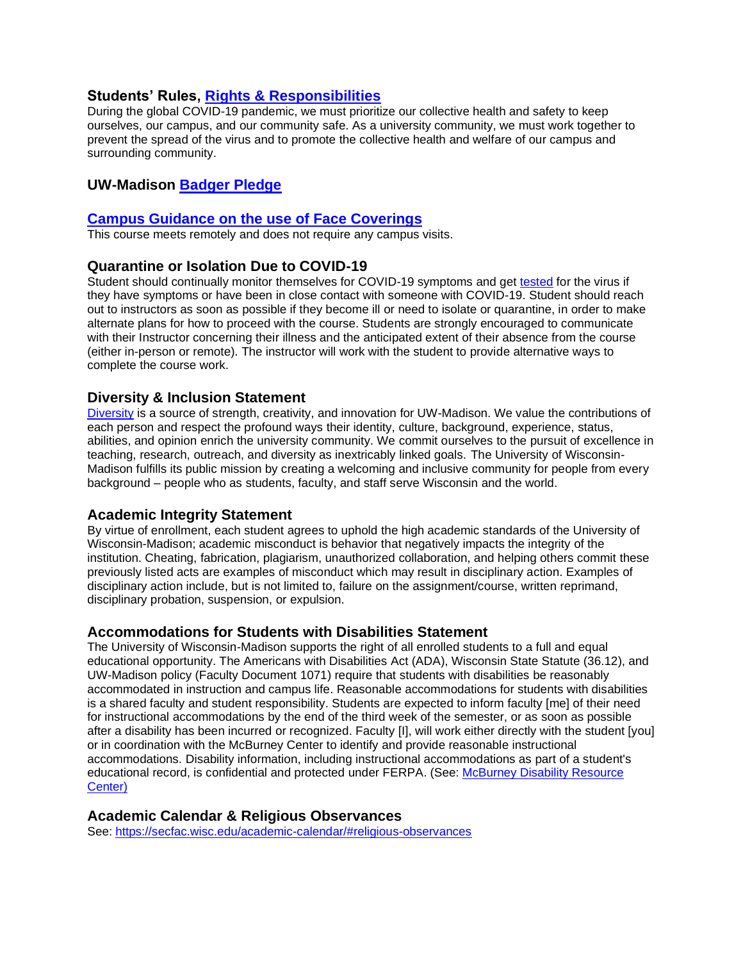## **Students' Rules, [Rights & Responsibilities](https://guide.wisc.edu/undergraduate/#rulesrightsandresponsibilitiestext)**

During the global COVID-19 pandemic, we must prioritize our collective health and safety to keep ourselves, our campus, and our community safe. As a university community, we must work together to prevent the spread of the virus and to promote the collective health and welfare of our campus and surrounding community.

# **UW-Madison [Badger Pledge](https://smartrestart.wisc.edu/badgerpledge/)**

## **[Campus Guidance on the use of Face Coverings](https://d1cjb8q1w2lzm7.cloudfront.net/wp-content/uploads/sites/22/2020/06/Cloth-face-cover-guidance-06-22-20-final.pdf)**

This course meets remotely and does not require any campus visits.

## **Quarantine or Isolation Due to COVID-19**

Student should continually monitor themselves for COVID-19 symptoms and get [tested](https://www.uhs.wisc.edu/medical/testing/) for the virus if they have symptoms or have been in close contact with someone with COVID-19. Student should reach out to instructors as soon as possible if they become ill or need to isolate or quarantine, in order to make alternate plans for how to proceed with the course. Students are strongly encouraged to communicate with their Instructor concerning their illness and the anticipated extent of their absence from the course (either in-person or remote). The instructor will work with the student to provide alternative ways to complete the course work.

## **Diversity & Inclusion Statement**

[Diversity](https://diversity.wisc.edu/) is a source of strength, creativity, and innovation for UW-Madison. We value the contributions of each person and respect the profound ways their identity, culture, background, experience, status, abilities, and opinion enrich the university community. We commit ourselves to the pursuit of excellence in teaching, research, outreach, and diversity as inextricably linked goals. The University of Wisconsin-Madison fulfills its public mission by creating a welcoming and inclusive community for people from every background – people who as students, faculty, and staff serve Wisconsin and the world.

# **Academic Integrity Statement**

By virtue of enrollment, each student agrees to uphold the high academic standards of the University of Wisconsin-Madison; academic misconduct is behavior that negatively impacts the integrity of the institution. Cheating, fabrication, plagiarism, unauthorized collaboration, and helping others commit these previously listed acts are examples of misconduct which may result in disciplinary action. Examples of disciplinary action include, but is not limited to, failure on the assignment/course, written reprimand, disciplinary probation, suspension, or expulsion.

#### **Accommodations for Students with Disabilities Statement**

The University of Wisconsin-Madison supports the right of all enrolled students to a full and equal educational opportunity. The Americans with Disabilities Act (ADA), Wisconsin State Statute (36.12), and UW-Madison policy (Faculty Document 1071) require that students with disabilities be reasonably accommodated in instruction and campus life. Reasonable accommodations for students with disabilities is a shared faculty and student responsibility. Students are expected to inform faculty [me] of their need for instructional accommodations by the end of the third week of the semester, or as soon as possible after a disability has been incurred or recognized. Faculty [I], will work either directly with the student [you] or in coordination with the McBurney Center to identify and provide reasonable instructional accommodations. Disability information, including instructional accommodations as part of a student's educational record, is confidential and protected under FERPA. (See: [McBurney Disability Resource](https://mcburney.wisc.edu/)  [Center\)](https://mcburney.wisc.edu/)

# **Academic Calendar & Religious Observances**

See:<https://secfac.wisc.edu/academic-calendar/#religious-observances>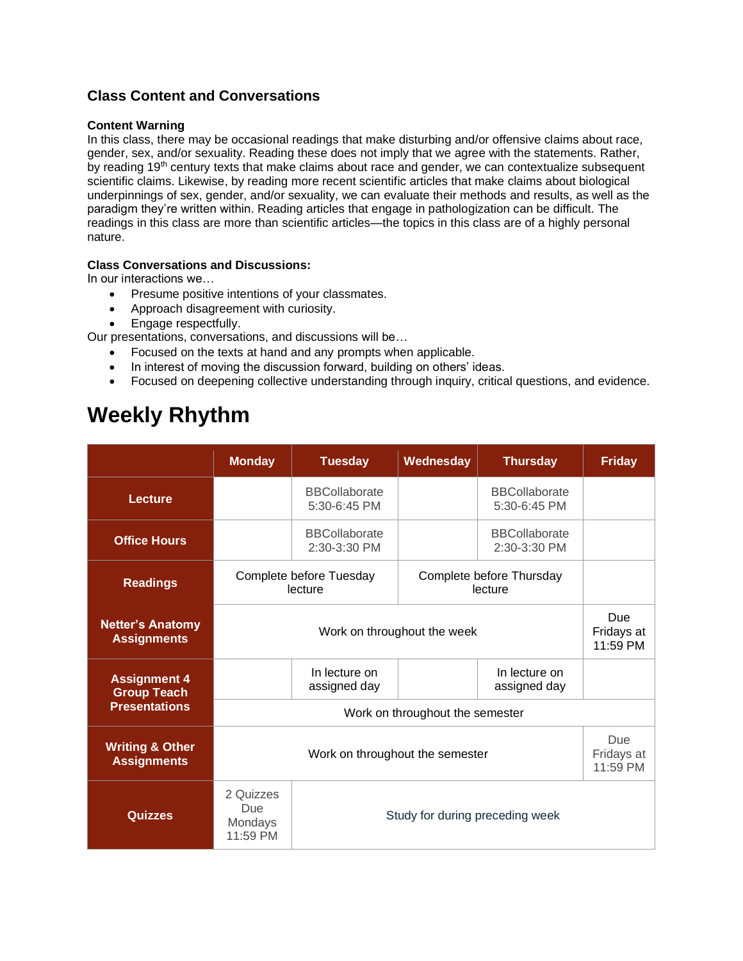# **Class Content and Conversations**

#### **Content Warning**

In this class, there may be occasional readings that make disturbing and/or offensive claims about race, gender, sex, and/or sexuality. Reading these does not imply that we agree with the statements. Rather, by reading 19<sup>th</sup> century texts that make claims about race and gender, we can contextualize subsequent scientific claims. Likewise, by reading more recent scientific articles that make claims about biological underpinnings of sex, gender, and/or sexuality, we can evaluate their methods and results, as well as the paradigm they're written within. Reading articles that engage in pathologization can be difficult. The readings in this class are more than scientific articles—the topics in this class are of a highly personal nature.

# **Class Conversations and Discussions:**

In our interactions we…

- Presume positive intentions of your classmates.
- Approach disagreement with curiosity.
- Engage respectfully.

Our presentations, conversations, and discussions will be…

- Focused on the texts at hand and any prompts when applicable.
- In interest of moving the discussion forward, building on others' ideas.
- Focused on deepening collective understanding through inquiry, critical questions, and evidence.

# **Weekly Rhythm**

|                                                                   | <b>Monday</b>                                                              | <b>Tuesday</b>                       | Wednesday | <b>Thursday</b>                      | <b>Friday</b>                        |
|-------------------------------------------------------------------|----------------------------------------------------------------------------|--------------------------------------|-----------|--------------------------------------|--------------------------------------|
| <b>Lecture</b>                                                    |                                                                            | <b>BBCollaborate</b><br>5:30-6:45 PM |           | <b>BBCollaborate</b><br>5:30-6:45 PM |                                      |
| <b>Office Hours</b>                                               |                                                                            | <b>BBCollaborate</b><br>2:30-3:30 PM |           | <b>BBCollaborate</b><br>2:30-3:30 PM |                                      |
| <b>Readings</b>                                                   | Complete before Tuesday<br>Complete before Thursday<br>lecture<br>lecture  |                                      |           |                                      |                                      |
| <b>Netter's Anatomy</b><br><b>Assignments</b>                     | Work on throughout the week                                                |                                      |           |                                      | <b>Due</b><br>Fridays at<br>11:59 PM |
| <b>Assignment 4</b><br><b>Group Teach</b><br><b>Presentations</b> |                                                                            | In lecture on<br>assigned day        |           | In lecture on<br>assigned day        |                                      |
|                                                                   | Work on throughout the semester                                            |                                      |           |                                      |                                      |
| <b>Writing &amp; Other</b><br><b>Assignments</b>                  | Work on throughout the semester                                            |                                      |           |                                      | Due<br>Fridays at<br>11:59 PM        |
| Quizzes                                                           | 2 Quizzes<br>Due<br>Study for during preceding week<br>Mondays<br>11:59 PM |                                      |           |                                      |                                      |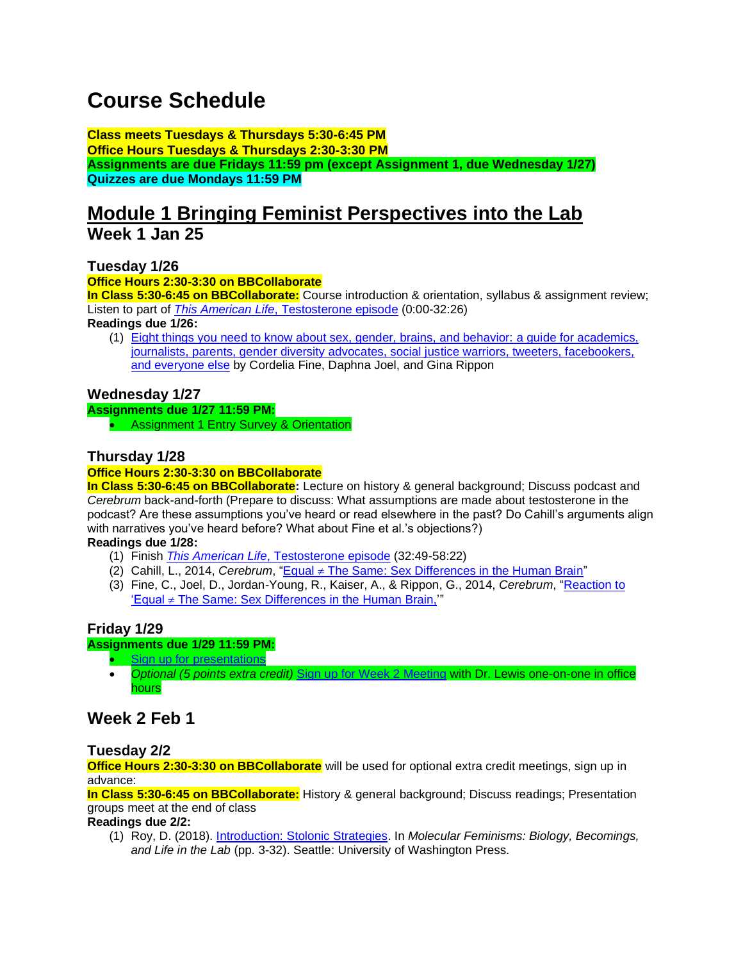# **Course Schedule**

**Class meets Tuesdays & Thursdays 5:30-6:45 PM Office Hours Tuesdays & Thursdays 2:30-3:30 PM Assignments are due Fridays 11:59 pm (except Assignment 1, due Wednesday 1/27) Quizzes are due Mondays 11:59 PM**

# **Module 1 Bringing Feminist Perspectives into the Lab**

**Week 1 Jan 25**

**Tuesday 1/26**

**Office Hours 2:30-3:30 on BBCollaborate**

**In Class 5:30-6:45 on BBCollaborate:** Course introduction & orientation, syllabus & assignment review; Listen to part of *This American Life*[, Testosterone episode](https://www.thisamericanlife.org/220/testosterone) (0:00-32:26)

**Readings due 1/26:**

(1) [Eight things you need to know about sex, gender, brains, and behavior:](http://sfonline.barnard.edu/neurogenderings/eight-things-you-need-to-know-about-sex-gender-brains-and-behavior-a-guide-for-academics-journalists-parents-gender-diversity-advocates-social-justice-warriors-tweeters-facebookers-and-ever/) a guide for academics, [journalists, parents, gender diversity advocates, social justice warriors, tweeters, facebookers,](http://sfonline.barnard.edu/neurogenderings/eight-things-you-need-to-know-about-sex-gender-brains-and-behavior-a-guide-for-academics-journalists-parents-gender-diversity-advocates-social-justice-warriors-tweeters-facebookers-and-ever/)  [and everyone else](http://sfonline.barnard.edu/neurogenderings/eight-things-you-need-to-know-about-sex-gender-brains-and-behavior-a-guide-for-academics-journalists-parents-gender-diversity-advocates-social-justice-warriors-tweeters-facebookers-and-ever/) by Cordelia Fine, Daphna Joel, and Gina Rippon

# **Wednesday 1/27**

**Assignments due 1/27 11:59 PM:** 

• Assignment 1 Entry Survey & Orientation

# **Thursday 1/28**

## **Office Hours 2:30-3:30 on BBCollaborate**

**In Class 5:30-6:45 on BBCollaborate:** Lecture on history & general background; Discuss podcast and *Cerebrum* back-and-forth (Prepare to discuss: What assumptions are made about testosterone in the podcast? Are these assumptions you've heard or read elsewhere in the past? Do Cahill's arguments align with narratives you've heard before? What about Fine et al.'s objections?)

## **Readings due 1/28:**

- (1) Finish *This American Life*[, Testosterone episode](https://www.thisamericanlife.org/220/testosterone) (32:49-58:22)
- (2) Cahill, L., 2014, *Cerebrum*, "Equal  $\neq$  [The Same: Sex Differences in the Human Brain"](https://www.dana.org/article/equal-%e2%89%a0-the-same-sex-differences-in-the-human-brain/)
- (3) Fine, C., Joel, D., Jordan-Young, R., Kaiser, A., & Rippon, G., 2014, *Cerebrum*, ["Reaction to](https://dana.org/article/reaction-to-equal-%e2%89%a0-the-same-sex-differences-in-the-human-brain/)  'Equal  $\neq$  The Same: Sex Differences in the Human Brain,"

# **Friday 1/29**

#### **Assignments due 1/29 11:59 PM:**

- [Sign up for presentations](https://docs.google.com/spreadsheets/d/1zfG6tQNf2noUXc0_ta8ahyROLzR0X_HOCddBsONqi00/edit?usp=sharing)
- *Optional (5 points extra credit)* [Sign up for Week 2 Meeting](https://docs.google.com/spreadsheets/d/1i3IRz4MxNnxOFoiAWkH_ThN8qhlvPnKBHhj14Od8q6g/edit?usp=sharing) with Dr. Lewis one-on-one in office hours

# **Week 2 Feb 1**

# **Tuesday 2/2**

**Office Hours 2:30-3:30 on BBCollaborate** will be used for optional extra credit meetings, sign up in advance:

**In Class 5:30-6:45 on BBCollaborate:** History & general background; Discuss readings; Presentation groups meet at the end of class

**Readings due 2/2:**

(1) Roy, D. (2018). [Introduction: Stolonic Strategies.](http://www.jstor.org/stable/j.ctvbtzktk.4) In *Molecular Feminisms: Biology, Becomings, and Life in the Lab* (pp. 3-32). Seattle: University of Washington Press.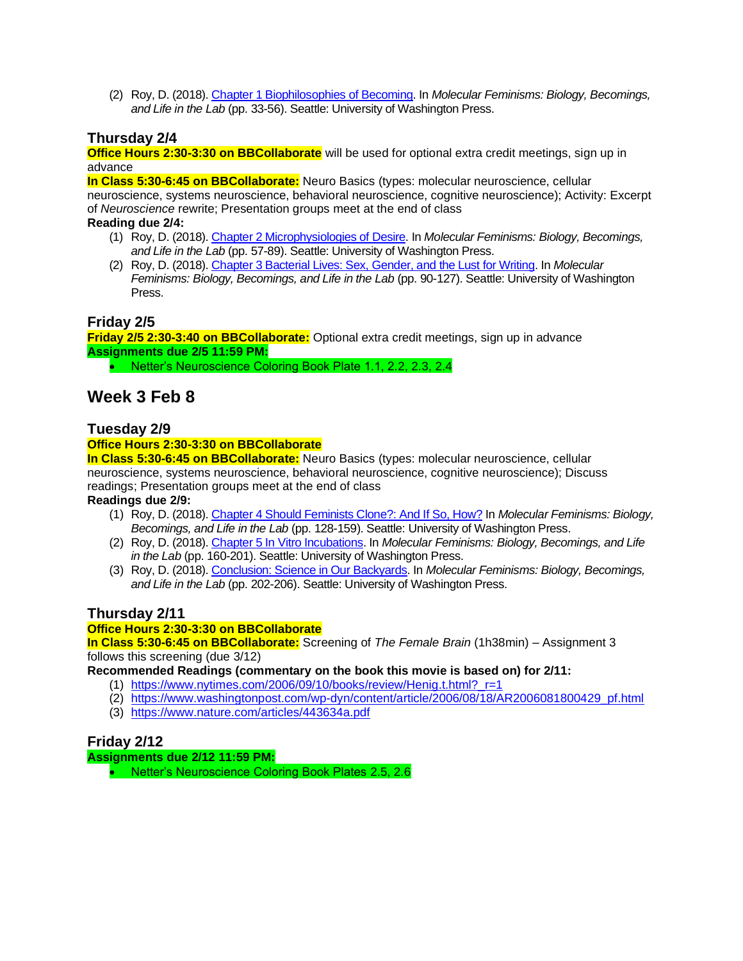(2) Roy, D. (2018)[. Chapter 1 Biophilosophies of Becoming.](http://www.jstor.org/stable/j.ctvbtzktk.5) In *Molecular Feminisms: Biology, Becomings, and Life in the Lab* (pp. 33-56). Seattle: University of Washington Press.

## **Thursday 2/4**

**Office Hours 2:30-3:30 on BBCollaborate** will be used for optional extra credit meetings, sign up in advance

**In Class 5:30-6:45 on BBCollaborate:** Neuro Basics (types: molecular neuroscience, cellular neuroscience, systems neuroscience, behavioral neuroscience, cognitive neuroscience); Activity: Excerpt of *Neuroscience* rewrite; Presentation groups meet at the end of class

#### **Reading due 2/4:**

- (1) Roy, D. (2018)[. Chapter 2 Microphysiologies of Desire.](http://www.jstor.org/stable/j.ctvbtzktk.6) In *Molecular Feminisms: Biology, Becomings, and Life in the Lab* (pp. 57-89). Seattle: University of Washington Press.
- (2) Roy, D. (2018)[. Chapter 3 Bacterial Lives: Sex, Gender, and the Lust for Writing.](http://www.jstor.org/stable/j.ctvbtzktk.7) In *Molecular Feminisms: Biology, Becomings, and Life in the Lab* (pp. 90-127). Seattle: University of Washington Press.

## **Friday 2/5**

**Friday 2/5 2:30-3:40 on BBCollaborate:** Optional extra credit meetings, sign up in advance **Assignments due 2/5 11:59 PM:**

• Netter's Neuroscience Coloring Book Plate 1.1, 2.2, 2.3, 2.4

# **Week 3 Feb 8**

#### **Tuesday 2/9**

#### **Office Hours 2:30-3:30 on BBCollaborate**

**In Class 5:30-6:45 on BBCollaborate:** Neuro Basics (types: molecular neuroscience, cellular neuroscience, systems neuroscience, behavioral neuroscience, cognitive neuroscience); Discuss readings; Presentation groups meet at the end of class **Readings due 2/9:**

(1) Roy, D. (2018)[. Chapter 4 Should Feminists Clone?: And If So, How?](http://www.jstor.org/stable/j.ctvbtzktk.8) In *Molecular Feminisms: Biology, Becomings, and Life in the Lab* (pp. 128-159). Seattle: University of Washington Press.

- (2) Roy, D. (2018)[. Chapter 5 In Vitro Incubations.](http://www.jstor.org/stable/j.ctvbtzktk.9) In *Molecular Feminisms: Biology, Becomings, and Life in the Lab* (pp. 160-201). Seattle: University of Washington Press.
- (3) Roy, D. (2018)[. Conclusion: Science in Our Backyards.](http://www.jstor.org/stable/j.ctvbtzktk.10) In *Molecular Feminisms: Biology, Becomings, and Life in the Lab* (pp. 202-206). Seattle: University of Washington Press.

# **Thursday 2/11**

#### **Office Hours 2:30-3:30 on BBCollaborate**

**In Class 5:30-6:45 on BBCollaborate:** Screening of *The Female Brain* (1h38min) – Assignment 3 follows this screening (due 3/12)

**Recommended Readings (commentary on the book this movie is based on) for 2/11:** 

- (1) [https://www.nytimes.com/2006/09/10/books/review/Henig.t.html?\\_r=1](https://www.nytimes.com/2006/09/10/books/review/Henig.t.html?_r=1)
- (2) [https://www.washingtonpost.com/wp-dyn/content/article/2006/08/18/AR2006081800429\\_pf.html](https://www.washingtonpost.com/wp-dyn/content/article/2006/08/18/AR2006081800429_pf.html)
- (3) <https://www.nature.com/articles/443634a.pdf>

# **Friday 2/12**

**Assignments due 2/12 11:59 PM:**

• Netter's Neuroscience Coloring Book Plates 2.5, 2.6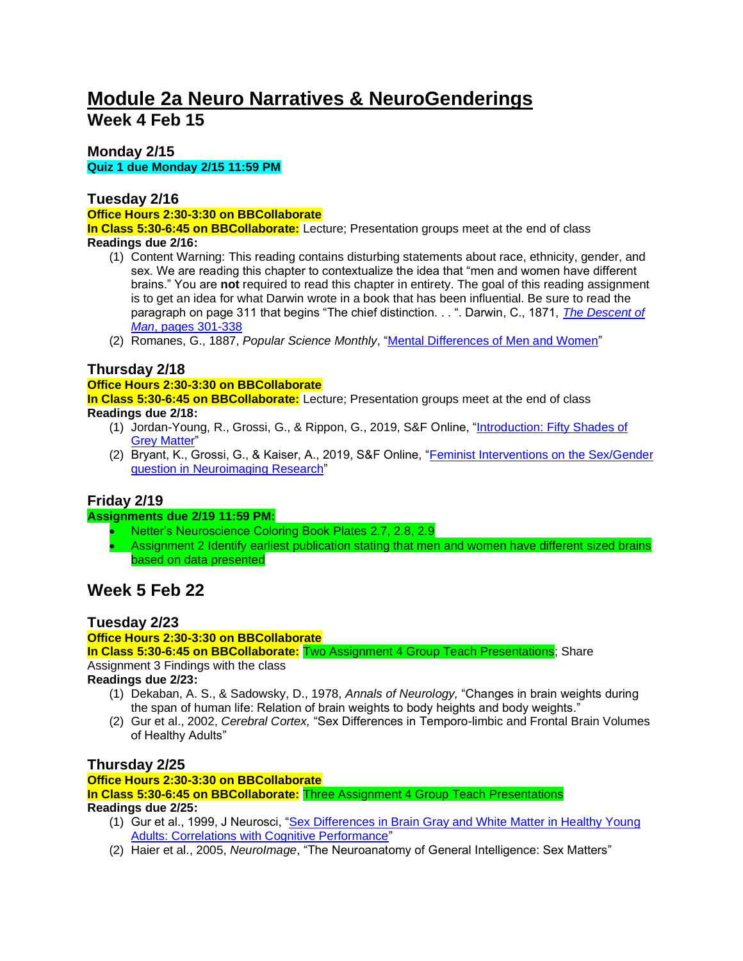# **Module 2a Neuro Narratives & NeuroGenderings Week 4 Feb 15**

## **Monday 2/15 Quiz 1 due Monday 2/15 11:59 PM**

# **Tuesday 2/16**

## **Office Hours 2:30-3:30 on BBCollaborate**

**In Class 5:30-6:45 on BBCollaborate:** Lecture; Presentation groups meet at the end of class **Readings due 2/16:**

- (1) Content Warning: This reading contains disturbing statements about race, ethnicity, gender, and sex. We are reading this chapter to contextualize the idea that "men and women have different brains." You are **not** required to read this chapter in entirety. The goal of this reading assignment is to get an idea for what Darwin wrote in a book that has been influential. Be sure to read the paragraph on page 311 that begins "The chief distinction. . . ". Darwin, C., 1871, *[The Descent of](http://darwin-online.org.uk/converted/pdf/1871_Descent_F942.2.pdf)  Man*[, pages 301-338](http://darwin-online.org.uk/converted/pdf/1871_Descent_F942.2.pdf)
- (2) Romanes, G., 1887, *Popular Science Monthly*, ["Mental Differences of Men and Women"](https://en.wikisource.org/wiki/Popular_Science_Monthly/Volume_31/July_1887/Mental_Differences_of_Men_and_Women)

# **Thursday 2/18**

## **Office Hours 2:30-3:30 on BBCollaborate**

**In Class 5:30-6:45 on BBCollaborate:** Lecture; Presentation groups meet at the end of class **Readings due 2/18:**

- (1) Jordan-Young, R., Grossi, G., & Rippon, G., 2019, S&F Online, ["Introduction: Fifty Shades of](http://sfonline.barnard.edu/neurogenderings/introduction-fifty-shades-of-grey-matter/)  [Grey Matter"](http://sfonline.barnard.edu/neurogenderings/introduction-fifty-shades-of-grey-matter/)
- (2) Bryant, K., Grossi, G., & Kaiser, A., 2019, S&F Online, ["Feminist Interventions on the Sex/Gender](http://sfonline.barnard.edu/neurogenderings/feminist-interventions-on-the-sex-gender-question-in-neuroimaging-research/)  [question in Neuroimaging Research"](http://sfonline.barnard.edu/neurogenderings/feminist-interventions-on-the-sex-gender-question-in-neuroimaging-research/)

# **Friday 2/19**

#### **Assignments due 2/19 11:59 PM:**

- Netter's Neuroscience Coloring Book Plates 2.7, 2.8, 2.9
- Assignment 2 Identify earliest publication stating that men and women have different sized brains based on data presented

# **Week 5 Feb 22**

# **Tuesday 2/23**

#### **Office Hours 2:30-3:30 on BBCollaborate**

**In Class 5:30-6:45 on BBCollaborate:** Two Assignment 4 Group Teach Presentations; Share Assignment 3 Findings with the class

**Readings due 2/23:**

- (1) Dekaban, A. S., & Sadowsky, D., 1978, *Annals of Neurology,* "Changes in brain weights during the span of human life: Relation of brain weights to body heights and body weights."
- (2) Gur et al., 2002, *Cerebral Cortex,* "Sex Differences in Temporo-limbic and Frontal Brain Volumes of Healthy Adults"

# **Thursday 2/25**

#### **Office Hours 2:30-3:30 on BBCollaborate**

# **In Class 5:30-6:45 on BBCollaborate:** Three Assignment 4 Group Teach Presentations

#### **Readings due 2/25:**

- (1) Gur et al., 1999, J Neurosci, ["Sex Differences in Brain Gray and White Matter in Healthy Young](https://www.jneurosci.org/content/19/10/4065) [Adults: Correlations with Cognitive Performance"](https://www.jneurosci.org/content/19/10/4065)
- (2) Haier et al., 2005, *NeuroImage*, "The Neuroanatomy of General Intelligence: Sex Matters"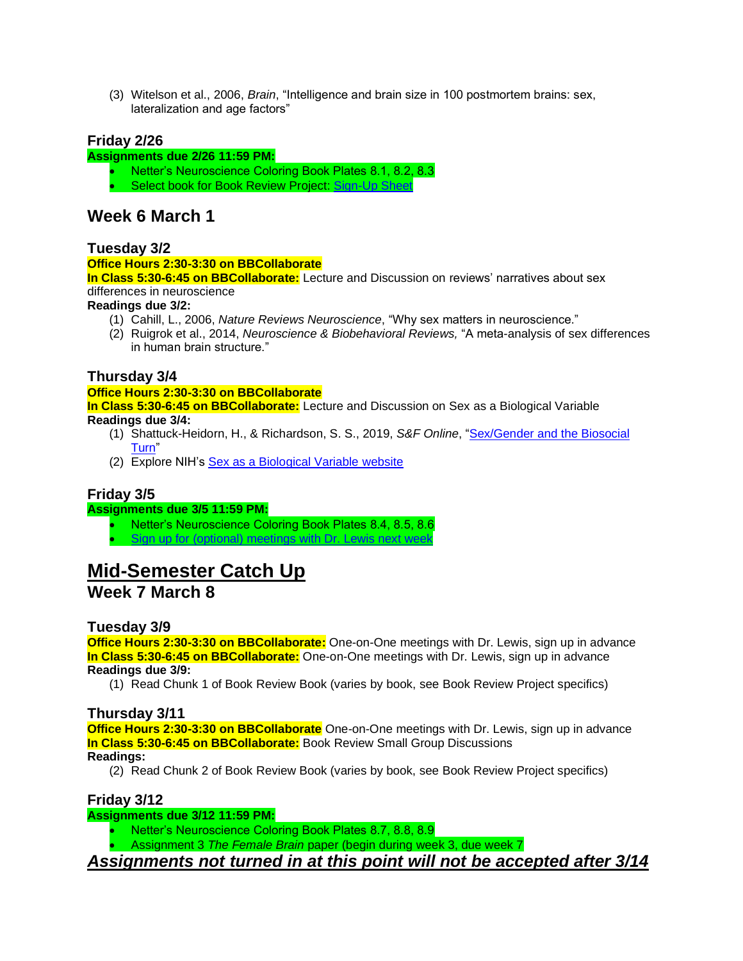(3) Witelson et al., 2006, *Brain*, "Intelligence and brain size in 100 postmortem brains: sex, lateralization and age factors"

# **Friday 2/26**

#### **Assignments due 2/26 11:59 PM:**

• Netter's Neuroscience Coloring Book Plates 8.1, 8.2, 8.3 • Select book for Book Review Project: [Sign-Up Sheet](https://docs.google.com/spreadsheets/d/1xl_4EbRbEca_rH5-O_3Xfl0elYZ5cpIBnsBp7w9u0P0/edit?usp=sharing)

# **Week 6 March 1**

## **Tuesday 3/2**

#### **Office Hours 2:30-3:30 on BBCollaborate**

**In Class 5:30-6:45 on BBCollaborate:** Lecture and Discussion on reviews' narratives about sex differences in neuroscience

#### **Readings due 3/2:**

- (1) Cahill, L., 2006, *Nature Reviews Neuroscience*, "Why sex matters in neuroscience."
- (2) Ruigrok et al., 2014, *Neuroscience & Biobehavioral Reviews,* "A meta-analysis of sex differences in human brain structure."

# **Thursday 3/4**

**Office Hours 2:30-3:30 on BBCollaborate In Class 5:30-6:45 on BBCollaborate:** Lecture and Discussion on Sex as a Biological Variable **Readings due 3/4:**

- (1) Shattuck-Heidorn, H., & Richardson, S. S., 2019, *S&F Online*, ["Sex/Gender and the Biosocial](http://sfonline.barnard.edu/neurogenderings/sex-gender-and-the-biosocial-turn/)  [Turn"](http://sfonline.barnard.edu/neurogenderings/sex-gender-and-the-biosocial-turn/)
- (2) Explore NIH's [Sex as a Biological Variable website](https://orwh.od.nih.gov/sex-gender/nih-policy-sex-biological-variable)

# **Friday 3/5**

#### **Assignments due 3/5 11:59 PM:**

- Netter's Neuroscience Coloring Book Plates 8.4, 8.5, 8.6
- [Sign up for \(optional\) meetings with Dr. Lewis next week](https://docs.google.com/spreadsheets/d/1ukBFyR-YZ__wcUpJX3EStYm_F84HiGhu_I9Qrg58rBs/edit?usp=sharing)

# **Mid-Semester Catch Up**

# **Week 7 March 8**

# **Tuesday 3/9**

**Office Hours 2:30-3:30 on BBCollaborate:** One-on-One meetings with Dr. Lewis, sign up in advance **In Class 5:30-6:45 on BBCollaborate:** One-on-One meetings with Dr. Lewis, sign up in advance **Readings due 3/9:**

(1) Read Chunk 1 of Book Review Book (varies by book, see Book Review Project specifics)

# **Thursday 3/11**

**Office Hours 2:30-3:30 on BBCollaborate** One-on-One meetings with Dr. Lewis, sign up in advance **In Class 5:30-6:45 on BBCollaborate:** Book Review Small Group Discussions **Readings:**

(2) Read Chunk 2 of Book Review Book (varies by book, see Book Review Project specifics)

# **Friday 3/12**

#### **Assignments due 3/12 11:59 PM:**

- Netter's Neuroscience Coloring Book Plates 8.7, 8.8, 8.9
- Assignment 3 *The Female Brain* paper (begin during week 3, due week 7

*Assignments not turned in at this point will not be accepted after 3/14*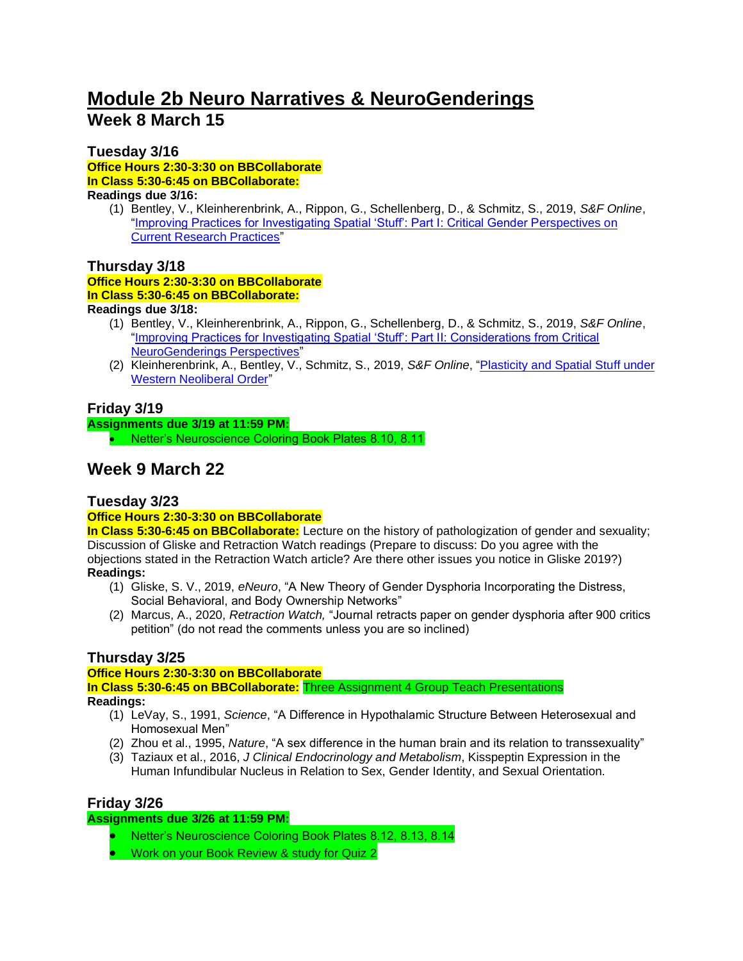# **Module 2b Neuro Narratives & NeuroGenderings Week 8 March 15**

## **Tuesday 3/16**

**Office Hours 2:30-3:30 on BBCollaborate In Class 5:30-6:45 on BBCollaborate: Readings due 3/16:**

(1) Bentley, V., Kleinherenbrink, A., Rippon, G., Schellenberg, D., & Schmitz, S., 2019, *S&F Online*, ["Improving Practices for Investigating Spatial 'Stuff': Part I: Critical Gender Perspectives on](http://sfonline.barnard.edu/neurogenderings/improving-practices-for-investigating-spatial-stuff-part-i-critical-gender-perspectives-on-current-research-practices)  [Current Research Practices"](http://sfonline.barnard.edu/neurogenderings/improving-practices-for-investigating-spatial-stuff-part-i-critical-gender-perspectives-on-current-research-practices)

## **Thursday 3/18**

**Office Hours 2:30-3:30 on BBCollaborate In Class 5:30-6:45 on BBCollaborate:**

#### **Readings due 3/18:**

- (1) Bentley, V., Kleinherenbrink, A., Rippon, G., Schellenberg, D., & Schmitz, S., 2019, *S&F Online*, ["Improving Practices for Investigating Spatial 'Stuff': Part II: Considerations from Critical](http://sfonline.barnard.edu/neurogenderings/improving-practices-for-investigating-spatial-stuff-part-ii-considerations-from-critical-neurogenderings-perspectives/)  [NeuroGenderings Perspectives"](http://sfonline.barnard.edu/neurogenderings/improving-practices-for-investigating-spatial-stuff-part-ii-considerations-from-critical-neurogenderings-perspectives/)
- (2) Kleinherenbrink, A., Bentley, V., Schmitz, S., 2019, *S&F Online*, ["Plasticity and Spatial Stuff under](http://sfonline.barnard.edu/neurogenderings/plasticity-and-spatial-stuff-under-western-neoliberal-order)  [Western Neoliberal Order"](http://sfonline.barnard.edu/neurogenderings/plasticity-and-spatial-stuff-under-western-neoliberal-order)

# **Friday 3/19**

**Assignments due 3/19 at 11:59 PM:**

• Netter's Neuroscience Coloring Book Plates 8.10, 8.11

# **Week 9 March 22**

#### **Tuesday 3/23 Office Hours 2:30-3:30 on BBCollaborate**

**In Class 5:30-6:45 on BBCollaborate:** Lecture on the history of pathologization of gender and sexuality; Discussion of Gliske and Retraction Watch readings (Prepare to discuss: Do you agree with the objections stated in the Retraction Watch article? Are there other issues you notice in Gliske 2019?) **Readings:**

- (1) Gliske, S. V., 2019, *eNeuro*, "A New Theory of Gender Dysphoria Incorporating the Distress, Social Behavioral, and Body Ownership Networks"
- (2) Marcus, A., 2020, *Retraction Watch,* "Journal retracts paper on gender dysphoria after 900 critics petition" (do not read the comments unless you are so inclined)

# **Thursday 3/25**

**Office Hours 2:30-3:30 on BBCollaborate**

**In Class 5:30-6:45 on BBCollaborate:** Three Assignment 4 Group Teach Presentations **Readings:**

- (1) LeVay, S., 1991, *Science*, "A Difference in Hypothalamic Structure Between Heterosexual and Homosexual Men"
- (2) Zhou et al., 1995, *Nature*, "A sex difference in the human brain and its relation to transsexuality"
- (3) Taziaux et al., 2016, *J Clinical Endocrinology and Metabolism*, Kisspeptin Expression in the Human Infundibular Nucleus in Relation to Sex, Gender Identity, and Sexual Orientation.

# **Friday 3/26**

#### **Assignments due 3/26 at 11:59 PM:**

- Netter's Neuroscience Coloring Book Plates 8.12, 8.13, 8.14
- Work on your Book Review & study for Quiz 2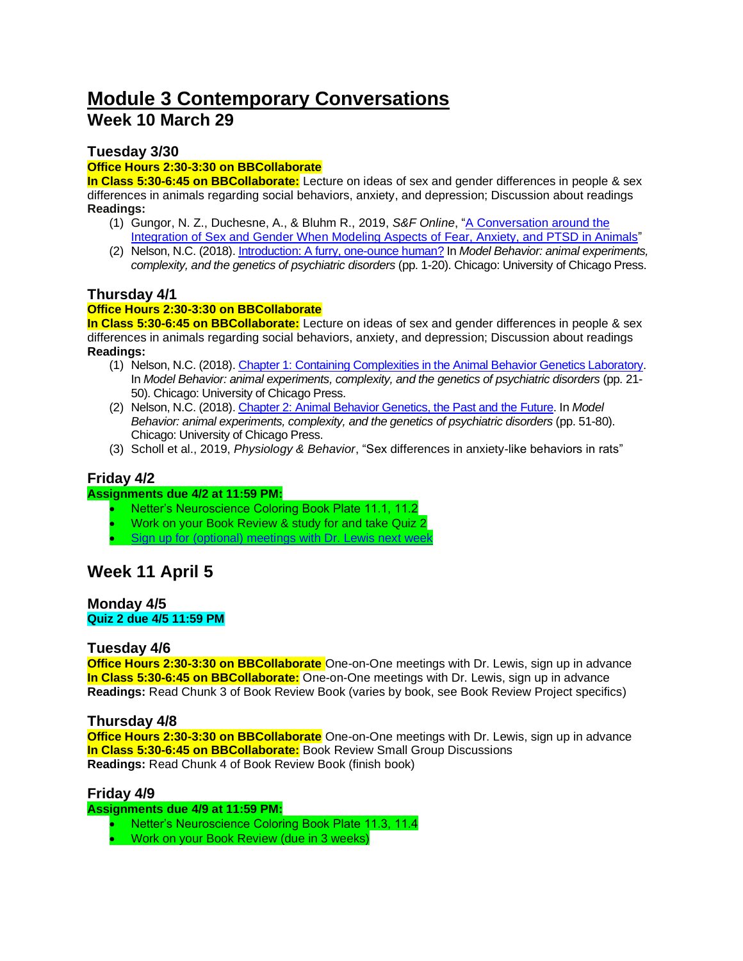# **Module 3 Contemporary Conversations Week 10 March 29**

# **Tuesday 3/30**

## **Office Hours 2:30-3:30 on BBCollaborate**

**In Class 5:30-6:45 on BBCollaborate:** Lecture on ideas of sex and gender differences in people & sex differences in animals regarding social behaviors, anxiety, and depression; Discussion about readings **Readings:**

- (1) Gungor, N. Z., Duchesne, A., & Bluhm R., 2019, *S&F Online*, ["A Conversation around the](http://sfonline.barnard.edu/neurogenderings/a-conversation-around-the-integration-of-sex-and-gender-when-modeling-aspects-of-fear-anxiety-and-ptsd-in-animals/)  [Integration of Sex and Gender When Modeling Aspects of Fear, Anxiety, and PTSD in Animals"](http://sfonline.barnard.edu/neurogenderings/a-conversation-around-the-integration-of-sex-and-gender-when-modeling-aspects-of-fear-anxiety-and-ptsd-in-animals/)
- (2) Nelson, N.C. (2018)[. Introduction: A furry, one-ounce human?](https://www-degruyter-com.ezproxy.library.wisc.edu/chicago/view/book/9780226546117/10.7208/9780226546117-001.xml) In *Model Behavior: animal experiments, complexity, and the genetics of psychiatric disorders* (pp. 1-20). Chicago: University of Chicago Press.

# **Thursday 4/1**

## **Office Hours 2:30-3:30 on BBCollaborate**

**In Class 5:30-6:45 on BBCollaborate:** Lecture on ideas of sex and gender differences in people & sex differences in animals regarding social behaviors, anxiety, and depression; Discussion about readings **Readings:**

- (1) Nelson, N.C. (2018)[. Chapter 1: Containing Complexities in the Animal Behavior Genetics Laboratory.](https://www-degruyter-com.ezproxy.library.wisc.edu/chicago/view/book/9780226546117/10.7208/9780226546117-002.xml)  In *Model Behavior: animal experiments, complexity, and the genetics of psychiatric disorders* (pp. 21- 50). Chicago: University of Chicago Press.
- (2) Nelson, N.C. (2018)[. Chapter 2: Animal Behavior Genetics, the Past and the Future.](https://www-degruyter-com.ezproxy.library.wisc.edu/chicago/view/book/9780226546117/10.7208/9780226546117-003.xml) In *Model Behavior: animal experiments, complexity, and the genetics of psychiatric disorders* (pp. 51-80). Chicago: University of Chicago Press.
- (3) Scholl et al., 2019, *Physiology & Behavior*, "Sex differences in anxiety-like behaviors in rats"

# **Friday 4/2**

#### **Assignments due 4/2 at 11:59 PM:**

- Netter's Neuroscience Coloring Book Plate 11.1, 11.2
- Work on your Book Review & study for and take Quiz 2
- [Sign up for \(optional\) meetings with Dr. Lewis next week](https://docs.google.com/spreadsheets/d/1syEllQjFwmEQ-HgLkU67AYs_IOSafMcjg1uDZWera2Y/edit?usp=sharing)

# **Week 11 April 5**

#### **Monday 4/5 Quiz 2 due 4/5 11:59 PM**

#### **Tuesday 4/6**

**Office Hours 2:30-3:30 on BBCollaborate** One-on-One meetings with Dr. Lewis, sign up in advance **In Class 5:30-6:45 on BBCollaborate:** One-on-One meetings with Dr. Lewis, sign up in advance **Readings:** Read Chunk 3 of Book Review Book (varies by book, see Book Review Project specifics)

# **Thursday 4/8**

**Office Hours 2:30-3:30 on BBCollaborate** One-on-One meetings with Dr. Lewis, sign up in advance **In Class 5:30-6:45 on BBCollaborate:** Book Review Small Group Discussions **Readings:** Read Chunk 4 of Book Review Book (finish book)

#### **Friday 4/9**

**Assignments due 4/9 at 11:59 PM:**

- Netter's Neuroscience Coloring Book Plate 11.3, 11.4
- Work on your Book Review (due in 3 weeks)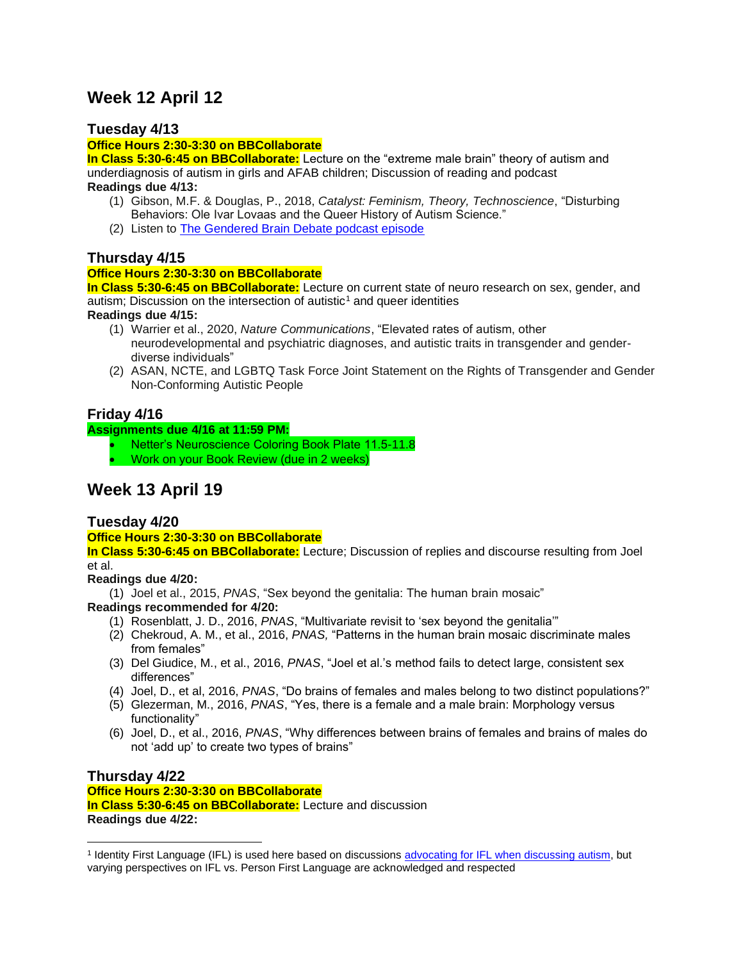# **Week 12 April 12**

# **Tuesday 4/13**

#### **Office Hours 2:30-3:30 on BBCollaborate**

**In Class 5:30-6:45 on BBCollaborate:** Lecture on the "extreme male brain" theory of autism and underdiagnosis of autism in girls and AFAB children; Discussion of reading and podcast **Readings due 4/13:** 

- (1) Gibson, M.F. & Douglas, P., 2018, *Catalyst: Feminism, Theory, Technoscience*, "Disturbing Behaviors: Ole Ivar Lovaas and the Queer History of Autism Science."
- (2) Listen to [The Gendered Brain Debate podcast episode](https://howtoacademy.com/podcasts/the-gendered-brain-debate/)

# **Thursday 4/15**

# **Office Hours 2:30-3:30 on BBCollaborate**

**In Class 5:30-6:45 on BBCollaborate:** Lecture on current state of neuro research on sex, gender, and autism; Discussion on the intersection of autistic<sup>1</sup> and queer identities

**Readings due 4/15:** 

- (1) Warrier et al., 2020, *Nature Communications*, "Elevated rates of autism, other neurodevelopmental and psychiatric diagnoses, and autistic traits in transgender and genderdiverse individuals"
- (2) ASAN, NCTE, and LGBTQ Task Force Joint Statement on the Rights of Transgender and Gender Non-Conforming Autistic People

# **Friday 4/16**

#### **Assignments due 4/16 at 11:59 PM:**

- Netter's Neuroscience Coloring Book Plate 11.5-11.8
- Work on your Book Review (due in 2 weeks)

# **Week 13 April 19**

# **Tuesday 4/20**

#### **Office Hours 2:30-3:30 on BBCollaborate**

**In Class 5:30-6:45 on BBCollaborate:** Lecture; Discussion of replies and discourse resulting from Joel et al.

#### **Readings due 4/20:**

(1) Joel et al., 2015, *PNAS*, "Sex beyond the genitalia: The human brain mosaic"

#### **Readings recommended for 4/20:**

- (1) Rosenblatt, J. D., 2016, *PNAS*, "Multivariate revisit to 'sex beyond the genitalia'"
- (2) Chekroud, A. M., et al., 2016, *PNAS,* "Patterns in the human brain mosaic discriminate males from females"
- (3) Del Giudice, M., et al., 2016, *PNAS*, "Joel et al.'s method fails to detect large, consistent sex differences"
- (4) Joel, D., et al, 2016, *PNAS*, "Do brains of females and males belong to two distinct populations?"
- (5) Glezerman, M., 2016, *PNAS*, "Yes, there is a female and a male brain: Morphology versus functionality"
- (6) Joel, D., et al., 2016, *PNAS*, "Why differences between brains of females and brains of males do not 'add up' to create two types of brains"

#### **Thursday 4/22 Office Hours 2:30-3:30 on BBCollaborate In Class 5:30-6:45 on BBCollaborate:** Lecture and discussion **Readings due 4/22:**

<sup>&</sup>lt;sup>1</sup> Identity First Language (IFL) is used here based on discussions [advocating for IFL when discussing autism,](https://autisticadvocacy.org/about-asan/identity-first-language/) but varying perspectives on IFL vs. Person First Language are acknowledged and respected